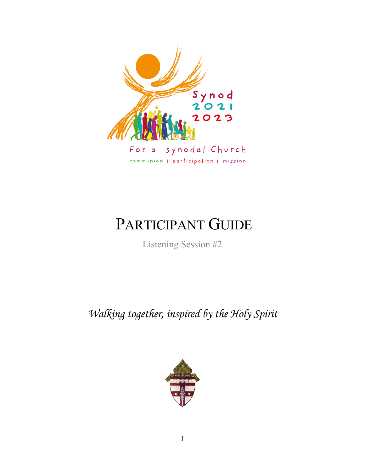

# PARTICIPANT GUIDE

Listening Session #2

*Walking together, inspired by the Holy Spirit*

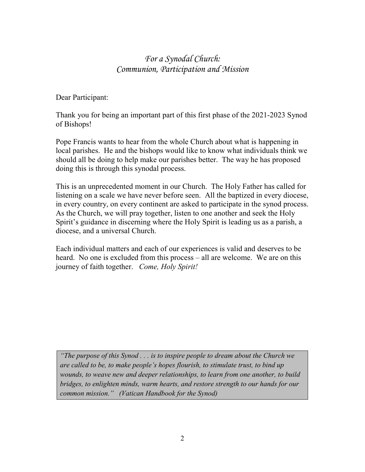# *For a Synodal Church: Communion, Participation and Mission*

Dear Participant:

Thank you for being an important part of this first phase of the 2021-2023 Synod of Bishops!

Pope Francis wants to hear from the whole Church about what is happening in local parishes. He and the bishops would like to know what individuals think we should all be doing to help make our parishes better. The way he has proposed doing this is through this synodal process.

This is an unprecedented moment in our Church. The Holy Father has called for listening on a scale we have never before seen. All the baptized in every diocese, in every country, on every continent are asked to participate in the synod process. As the Church, we will pray together, listen to one another and seek the Holy Spirit's guidance in discerning where the Holy Spirit is leading us as a parish, a diocese, and a universal Church.

Each individual matters and each of our experiences is valid and deserves to be heard. No one is excluded from this process – all are welcome. We are on this journey of faith together. *Come, Holy Spirit!*

*"The purpose of this Synod . . . is to inspire people to dream about the Church we are called to be, to make people's hopes flourish, to stimulate trust, to bind up wounds, to weave new and deeper relationships, to learn from one another, to build bridges, to enlighten minds, warm hearts, and restore strength to our hands for our common mission." (Vatican Handbook for the Synod)*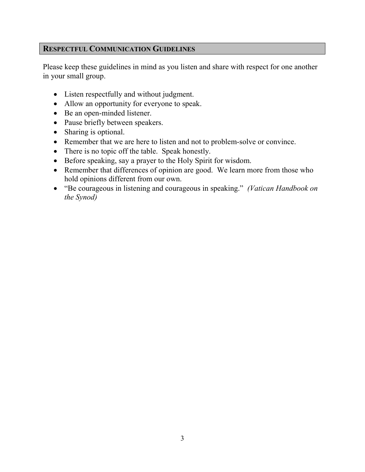## **RESPECTFUL COMMUNICATION GUIDELINES**

Please keep these guidelines in mind as you listen and share with respect for one another in your small group.

- Listen respectfully and without judgment.
- Allow an opportunity for everyone to speak.
- Be an open-minded listener.
- Pause briefly between speakers.
- Sharing is optional.
- Remember that we are here to listen and not to problem-solve or convince.
- There is no topic off the table. Speak honestly.
- Before speaking, say a prayer to the Holy Spirit for wisdom.
- Remember that differences of opinion are good. We learn more from those who hold opinions different from our own.
- "Be courageous in listening and courageous in speaking." *(Vatican Handbook on the Synod)*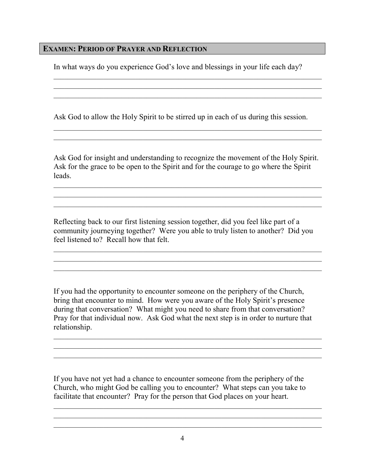### **EXAMEN: PERIOD OF PRAYER AND REFLECTION**

In what ways do you experience God's love and blessings in your life each day?

\_\_\_\_\_\_\_\_\_\_\_\_\_\_\_\_\_\_\_\_\_\_\_\_\_\_\_\_\_\_\_\_\_\_\_\_\_\_\_\_\_\_\_\_\_\_\_\_\_\_\_\_\_\_\_\_\_\_\_\_\_\_\_\_\_\_\_\_\_\_\_\_\_\_\_

Ask God to allow the Holy Spirit to be stirred up in each of us during this session.

Ask God for insight and understanding to recognize the movement of the Holy Spirit. Ask for the grace to be open to the Spirit and for the courage to go where the Spirit leads.

\_\_\_\_\_\_\_\_\_\_\_\_\_\_\_\_\_\_\_\_\_\_\_\_\_\_\_\_\_\_\_\_\_\_\_\_\_\_\_\_\_\_\_\_\_\_\_\_\_\_\_\_\_\_\_\_\_\_\_\_\_\_\_\_\_\_\_\_\_\_\_\_\_\_\_

\_\_\_\_\_\_\_\_\_\_\_\_\_\_\_\_\_\_\_\_\_\_\_\_\_\_\_\_\_\_\_\_\_\_\_\_\_\_\_\_\_\_\_\_\_\_\_\_\_\_\_\_\_\_\_\_\_\_\_\_\_\_\_\_\_\_\_\_\_\_\_\_\_\_\_ \_\_\_\_\_\_\_\_\_\_\_\_\_\_\_\_\_\_\_\_\_\_\_\_\_\_\_\_\_\_\_\_\_\_\_\_\_\_\_\_\_\_\_\_\_\_\_\_\_\_\_\_\_\_\_\_\_\_\_\_\_\_\_\_\_\_\_\_\_\_\_\_\_\_\_

Reflecting back to our first listening session together, did you feel like part of a community journeying together? Were you able to truly listen to another? Did you feel listened to? Recall how that felt.

\_\_\_\_\_\_\_\_\_\_\_\_\_\_\_\_\_\_\_\_\_\_\_\_\_\_\_\_\_\_\_\_\_\_\_\_\_\_\_\_\_\_\_\_\_\_\_\_\_\_\_\_\_\_\_\_\_\_\_\_\_\_\_\_\_\_\_\_\_\_\_\_\_\_\_

If you had the opportunity to encounter someone on the periphery of the Church, bring that encounter to mind. How were you aware of the Holy Spirit's presence during that conversation? What might you need to share from that conversation? Pray for that individual now. Ask God what the next step is in order to nurture that relationship.

\_\_\_\_\_\_\_\_\_\_\_\_\_\_\_\_\_\_\_\_\_\_\_\_\_\_\_\_\_\_\_\_\_\_\_\_\_\_\_\_\_\_\_\_\_\_\_\_\_\_\_\_\_\_\_\_\_\_\_\_\_\_\_\_\_\_\_\_\_\_\_\_\_\_\_ \_\_\_\_\_\_\_\_\_\_\_\_\_\_\_\_\_\_\_\_\_\_\_\_\_\_\_\_\_\_\_\_\_\_\_\_\_\_\_\_\_\_\_\_\_\_\_\_\_\_\_\_\_\_\_\_\_\_\_\_\_\_\_\_\_\_\_\_\_\_\_\_\_\_\_ \_\_\_\_\_\_\_\_\_\_\_\_\_\_\_\_\_\_\_\_\_\_\_\_\_\_\_\_\_\_\_\_\_\_\_\_\_\_\_\_\_\_\_\_\_\_\_\_\_\_\_\_\_\_\_\_\_\_\_\_\_\_\_\_\_\_\_\_\_\_\_\_\_\_\_

If you have not yet had a chance to encounter someone from the periphery of the Church, who might God be calling you to encounter? What steps can you take to facilitate that encounter? Pray for the person that God places on your heart.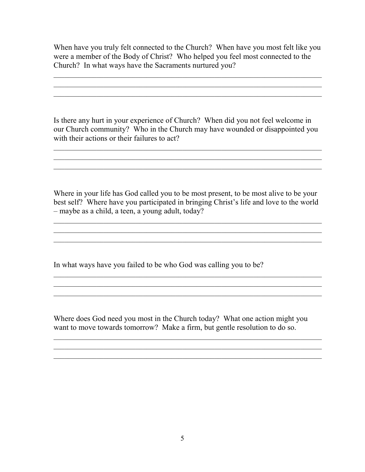When have you truly felt connected to the Church? When have you most felt like you were a member of the Body of Christ? Who helped you feel most connected to the Church? In what ways have the Sacraments nurtured you?

\_\_\_\_\_\_\_\_\_\_\_\_\_\_\_\_\_\_\_\_\_\_\_\_\_\_\_\_\_\_\_\_\_\_\_\_\_\_\_\_\_\_\_\_\_\_\_\_\_\_\_\_\_\_\_\_\_\_\_\_\_\_\_\_\_\_\_\_\_\_\_\_\_\_\_

Is there any hurt in your experience of Church? When did you not feel welcome in our Church community? Who in the Church may have wounded or disappointed you with their actions or their failures to act?

\_\_\_\_\_\_\_\_\_\_\_\_\_\_\_\_\_\_\_\_\_\_\_\_\_\_\_\_\_\_\_\_\_\_\_\_\_\_\_\_\_\_\_\_\_\_\_\_\_\_\_\_\_\_\_\_\_\_\_\_\_\_\_\_\_\_\_\_\_\_\_\_\_\_\_

Where in your life has God called you to be most present, to be most alive to be your best self? Where have you participated in bringing Christ's life and love to the world – maybe as a child, a teen, a young adult, today?

\_\_\_\_\_\_\_\_\_\_\_\_\_\_\_\_\_\_\_\_\_\_\_\_\_\_\_\_\_\_\_\_\_\_\_\_\_\_\_\_\_\_\_\_\_\_\_\_\_\_\_\_\_\_\_\_\_\_\_\_\_\_\_\_\_\_\_\_\_\_\_\_\_\_\_

\_\_\_\_\_\_\_\_\_\_\_\_\_\_\_\_\_\_\_\_\_\_\_\_\_\_\_\_\_\_\_\_\_\_\_\_\_\_\_\_\_\_\_\_\_\_\_\_\_\_\_\_\_\_\_\_\_\_\_\_\_\_\_\_\_\_\_\_\_\_\_\_\_\_\_ \_\_\_\_\_\_\_\_\_\_\_\_\_\_\_\_\_\_\_\_\_\_\_\_\_\_\_\_\_\_\_\_\_\_\_\_\_\_\_\_\_\_\_\_\_\_\_\_\_\_\_\_\_\_\_\_\_\_\_\_\_\_\_\_\_\_\_\_\_\_\_\_\_\_\_

In what ways have you failed to be who God was calling you to be?

Where does God need you most in the Church today? What one action might you want to move towards tomorrow? Make a firm, but gentle resolution to do so.

\_\_\_\_\_\_\_\_\_\_\_\_\_\_\_\_\_\_\_\_\_\_\_\_\_\_\_\_\_\_\_\_\_\_\_\_\_\_\_\_\_\_\_\_\_\_\_\_\_\_\_\_\_\_\_\_\_\_\_\_\_\_\_\_\_\_\_\_\_\_\_\_\_\_\_ \_\_\_\_\_\_\_\_\_\_\_\_\_\_\_\_\_\_\_\_\_\_\_\_\_\_\_\_\_\_\_\_\_\_\_\_\_\_\_\_\_\_\_\_\_\_\_\_\_\_\_\_\_\_\_\_\_\_\_\_\_\_\_\_\_\_\_\_\_\_\_\_\_\_\_ \_\_\_\_\_\_\_\_\_\_\_\_\_\_\_\_\_\_\_\_\_\_\_\_\_\_\_\_\_\_\_\_\_\_\_\_\_\_\_\_\_\_\_\_\_\_\_\_\_\_\_\_\_\_\_\_\_\_\_\_\_\_\_\_\_\_\_\_\_\_\_\_\_\_\_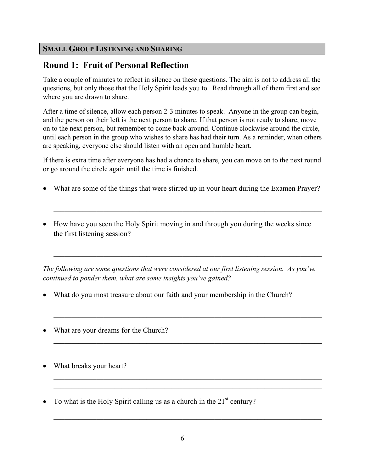## **SMALL GROUP LISTENING AND SHARING**

## **Round 1: Fruit of Personal Reflection**

Take a couple of minutes to reflect in silence on these questions. The aim is not to address all the questions, but only those that the Holy Spirit leads you to. Read through all of them first and see where you are drawn to share.

After a time of silence, allow each person 2-3 minutes to speak. Anyone in the group can begin, and the person on their left is the next person to share. If that person is not ready to share, move on to the next person, but remember to come back around. Continue clockwise around the circle, until each person in the group who wishes to share has had their turn. As a reminder, when others are speaking, everyone else should listen with an open and humble heart.

If there is extra time after everyone has had a chance to share, you can move on to the next round or go around the circle again until the time is finished.

• What are some of the things that were stirred up in your heart during the Examen Prayer?

\_\_\_\_\_\_\_\_\_\_\_\_\_\_\_\_\_\_\_\_\_\_\_\_\_\_\_\_\_\_\_\_\_\_\_\_\_\_\_\_\_\_\_\_\_\_\_\_\_\_\_\_\_\_\_\_\_\_\_\_\_\_\_\_\_\_\_\_\_\_\_\_\_\_\_

\_\_\_\_\_\_\_\_\_\_\_\_\_\_\_\_\_\_\_\_\_\_\_\_\_\_\_\_\_\_\_\_\_\_\_\_\_\_\_\_\_\_\_\_\_\_\_\_\_\_\_\_\_\_\_\_\_\_\_\_\_\_\_\_\_\_\_\_\_\_\_\_\_\_\_ \_\_\_\_\_\_\_\_\_\_\_\_\_\_\_\_\_\_\_\_\_\_\_\_\_\_\_\_\_\_\_\_\_\_\_\_\_\_\_\_\_\_\_\_\_\_\_\_\_\_\_\_\_\_\_\_\_\_\_\_\_\_\_\_\_\_\_\_\_\_\_\_\_\_\_

\_\_\_\_\_\_\_\_\_\_\_\_\_\_\_\_\_\_\_\_\_\_\_\_\_\_\_\_\_\_\_\_\_\_\_\_\_\_\_\_\_\_\_\_\_\_\_\_\_\_\_\_\_\_\_\_\_\_\_\_\_\_\_\_\_\_\_\_\_\_\_\_\_\_\_ \_\_\_\_\_\_\_\_\_\_\_\_\_\_\_\_\_\_\_\_\_\_\_\_\_\_\_\_\_\_\_\_\_\_\_\_\_\_\_\_\_\_\_\_\_\_\_\_\_\_\_\_\_\_\_\_\_\_\_\_\_\_\_\_\_\_\_\_\_\_\_\_\_\_\_

\_\_\_\_\_\_\_\_\_\_\_\_\_\_\_\_\_\_\_\_\_\_\_\_\_\_\_\_\_\_\_\_\_\_\_\_\_\_\_\_\_\_\_\_\_\_\_\_\_\_\_\_\_\_\_\_\_\_\_\_\_\_\_\_\_\_\_\_\_\_\_\_\_\_\_ \_\_\_\_\_\_\_\_\_\_\_\_\_\_\_\_\_\_\_\_\_\_\_\_\_\_\_\_\_\_\_\_\_\_\_\_\_\_\_\_\_\_\_\_\_\_\_\_\_\_\_\_\_\_\_\_\_\_\_\_\_\_\_\_\_\_\_\_\_\_\_\_\_\_\_

• How have you seen the Holy Spirit moving in and through you during the weeks since the first listening session?

*The following are some questions that were considered at our first listening session. As you've continued to ponder them, what are some insights you've gained?*

- What do you most treasure about our faith and your membership in the Church?
- What are your dreams for the Church?
- What breaks your heart?
- To what is the Holy Spirit calling us as a church in the  $21<sup>st</sup>$  century?

\_\_\_\_\_\_\_\_\_\_\_\_\_\_\_\_\_\_\_\_\_\_\_\_\_\_\_\_\_\_\_\_\_\_\_\_\_\_\_\_\_\_\_\_\_\_\_\_\_\_\_\_\_\_\_\_\_\_\_\_\_\_\_\_\_\_\_\_\_\_\_\_\_\_\_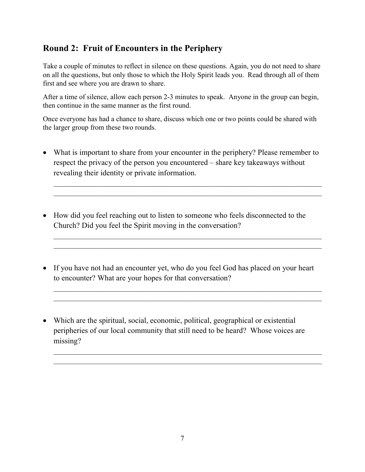# **Round 2: Fruit of Encounters in the Periphery**

Take a couple of minutes to reflect in silence on these questions. Again, you do not need to share on all the questions, but only those to which the Holy Spirit leads you. Read through all of them first and see where you are drawn to share.

After a time of silence, allow each person 2-3 minutes to speak. Anyone in the group can begin, then continue in the same manner as the first round.

Once everyone has had a chance to share, discuss which one or two points could be shared with the larger group from these two rounds.

• What is important to share from your encounter in the periphery? Please remember to respect the privacy of the person you encountered – share key takeaways without revealing their identity or private information.

\_\_\_\_\_\_\_\_\_\_\_\_\_\_\_\_\_\_\_\_\_\_\_\_\_\_\_\_\_\_\_\_\_\_\_\_\_\_\_\_\_\_\_\_\_\_\_\_\_\_\_\_\_\_\_\_\_\_\_\_\_\_\_\_\_\_\_\_\_\_\_\_\_\_\_ \_\_\_\_\_\_\_\_\_\_\_\_\_\_\_\_\_\_\_\_\_\_\_\_\_\_\_\_\_\_\_\_\_\_\_\_\_\_\_\_\_\_\_\_\_\_\_\_\_\_\_\_\_\_\_\_\_\_\_\_\_\_\_\_\_\_\_\_\_\_\_\_\_\_\_

\_\_\_\_\_\_\_\_\_\_\_\_\_\_\_\_\_\_\_\_\_\_\_\_\_\_\_\_\_\_\_\_\_\_\_\_\_\_\_\_\_\_\_\_\_\_\_\_\_\_\_\_\_\_\_\_\_\_\_\_\_\_\_\_\_\_\_\_\_\_\_\_\_\_\_

\_\_\_\_\_\_\_\_\_\_\_\_\_\_\_\_\_\_\_\_\_\_\_\_\_\_\_\_\_\_\_\_\_\_\_\_\_\_\_\_\_\_\_\_\_\_\_\_\_\_\_\_\_\_\_\_\_\_\_\_\_\_\_\_\_\_\_\_\_\_\_\_\_\_\_

\_\_\_\_\_\_\_\_\_\_\_\_\_\_\_\_\_\_\_\_\_\_\_\_\_\_\_\_\_\_\_\_\_\_\_\_\_\_\_\_\_\_\_\_\_\_\_\_\_\_\_\_\_\_\_\_\_\_\_\_\_\_\_\_\_\_\_\_\_\_\_\_\_\_\_ \_\_\_\_\_\_\_\_\_\_\_\_\_\_\_\_\_\_\_\_\_\_\_\_\_\_\_\_\_\_\_\_\_\_\_\_\_\_\_\_\_\_\_\_\_\_\_\_\_\_\_\_\_\_\_\_\_\_\_\_\_\_\_\_\_\_\_\_\_\_\_\_\_\_\_

- How did you feel reaching out to listen to someone who feels disconnected to the Church? Did you feel the Spirit moving in the conversation?
- If you have not had an encounter yet, who do you feel God has placed on your heart to encounter? What are your hopes for that conversation?
- Which are the spiritual, social, economic, political, geographical or existential peripheries of our local community that still need to be heard? Whose voices are missing?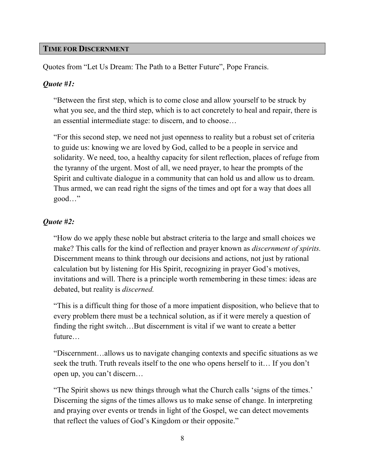#### **TIME FOR DISCERNMENT**

Quotes from "Let Us Dream: The Path to a Better Future", Pope Francis.

#### *Quote #1:*

"Between the first step, which is to come close and allow yourself to be struck by what you see, and the third step, which is to act concretely to heal and repair, there is an essential intermediate stage: to discern, and to choose…

"For this second step, we need not just openness to reality but a robust set of criteria to guide us: knowing we are loved by God, called to be a people in service and solidarity. We need, too, a healthy capacity for silent reflection, places of refuge from the tyranny of the urgent. Most of all, we need prayer, to hear the prompts of the Spirit and cultivate dialogue in a community that can hold us and allow us to dream. Thus armed, we can read right the signs of the times and opt for a way that does all good…"

### *Quote #2:*

"How do we apply these noble but abstract criteria to the large and small choices we make? This calls for the kind of reflection and prayer known as *discernment of spirits.* Discernment means to think through our decisions and actions, not just by rational calculation but by listening for His Spirit, recognizing in prayer God's motives, invitations and will. There is a principle worth remembering in these times: ideas are debated, but reality is *discerned.*

"This is a difficult thing for those of a more impatient disposition, who believe that to every problem there must be a technical solution, as if it were merely a question of finding the right switch…But discernment is vital if we want to create a better future…

"Discernment…allows us to navigate changing contexts and specific situations as we seek the truth. Truth reveals itself to the one who opens herself to it… If you don't open up, you can't discern…

"The Spirit shows us new things through what the Church calls 'signs of the times.' Discerning the signs of the times allows us to make sense of change. In interpreting and praying over events or trends in light of the Gospel, we can detect movements that reflect the values of God's Kingdom or their opposite."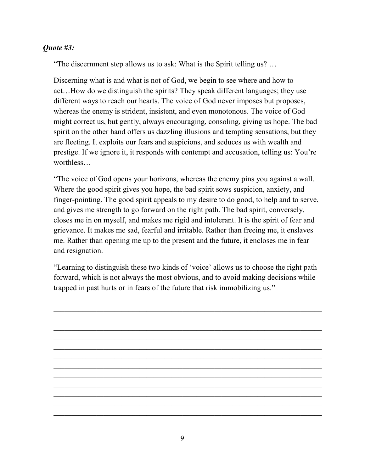### *Quote #3:*

"The discernment step allows us to ask: What is the Spirit telling us? …

Discerning what is and what is not of God, we begin to see where and how to act…How do we distinguish the spirits? They speak different languages; they use different ways to reach our hearts. The voice of God never imposes but proposes, whereas the enemy is strident, insistent, and even monotonous. The voice of God might correct us, but gently, always encouraging, consoling, giving us hope. The bad spirit on the other hand offers us dazzling illusions and tempting sensations, but they are fleeting. It exploits our fears and suspicions, and seduces us with wealth and prestige. If we ignore it, it responds with contempt and accusation, telling us: You're worthless…

"The voice of God opens your horizons, whereas the enemy pins you against a wall. Where the good spirit gives you hope, the bad spirit sows suspicion, anxiety, and finger-pointing. The good spirit appeals to my desire to do good, to help and to serve, and gives me strength to go forward on the right path. The bad spirit, conversely, closes me in on myself, and makes me rigid and intolerant. It is the spirit of fear and grievance. It makes me sad, fearful and irritable. Rather than freeing me, it enslaves me. Rather than opening me up to the present and the future, it encloses me in fear and resignation.

"Learning to distinguish these two kinds of 'voice' allows us to choose the right path forward, which is not always the most obvious, and to avoid making decisions while trapped in past hurts or in fears of the future that risk immobilizing us."

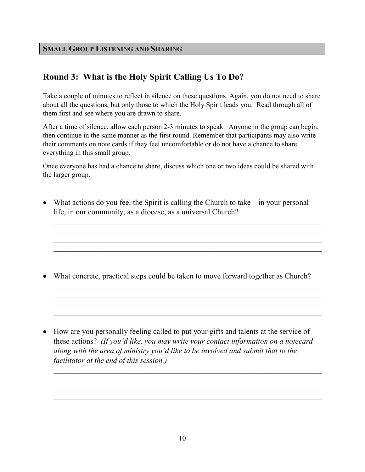### **SMALL GROUP LISTENING AND SHARING**

# **Round 3: What is the Holy Spirit Calling Us To Do?**

Take a couple of minutes to reflect in silence on these questions. Again, you do not need to share about all the questions, but only those to which the Holy Spirit leads you. Read through all of them first and see where you are drawn to share.

After a time of silence, allow each person 2-3 minutes to speak. Anyone in the group can begin, then continue in the same manner as the first round. Remember that participants may also write their comments on note cards if they feel uncomfortable or do not have a chance to share everything in this small group.

Once everyone has had a chance to share, discuss which one or two ideas could be shared with the larger group.

• What actions do you feel the Spirit is calling the Church to take – in your personal life, in our community, as a diocese, as a universal Church?

\_\_\_\_\_\_\_\_\_\_\_\_\_\_\_\_\_\_\_\_\_\_\_\_\_\_\_\_\_\_\_\_\_\_\_\_\_\_\_\_\_\_\_\_\_\_\_\_\_\_\_\_\_\_\_\_\_\_\_\_\_\_\_\_\_\_\_\_\_\_\_\_\_\_\_  $\mathcal{L}_\mathcal{L} = \mathcal{L}_\mathcal{L} = \mathcal{L}_\mathcal{L} = \mathcal{L}_\mathcal{L} = \mathcal{L}_\mathcal{L} = \mathcal{L}_\mathcal{L} = \mathcal{L}_\mathcal{L} = \mathcal{L}_\mathcal{L} = \mathcal{L}_\mathcal{L} = \mathcal{L}_\mathcal{L} = \mathcal{L}_\mathcal{L} = \mathcal{L}_\mathcal{L} = \mathcal{L}_\mathcal{L} = \mathcal{L}_\mathcal{L} = \mathcal{L}_\mathcal{L} = \mathcal{L}_\mathcal{L} = \mathcal{L}_\mathcal{L}$ \_\_\_\_\_\_\_\_\_\_\_\_\_\_\_\_\_\_\_\_\_\_\_\_\_\_\_\_\_\_\_\_\_\_\_\_\_\_\_\_\_\_\_\_\_\_\_\_\_\_\_\_\_\_\_\_\_\_\_\_\_\_\_\_\_\_\_\_\_\_\_\_\_\_\_ \_\_\_\_\_\_\_\_\_\_\_\_\_\_\_\_\_\_\_\_\_\_\_\_\_\_\_\_\_\_\_\_\_\_\_\_\_\_\_\_\_\_\_\_\_\_\_\_\_\_\_\_\_\_\_\_\_\_\_\_\_\_\_\_\_\_\_\_\_\_\_\_\_\_\_

• What concrete, practical steps could be taken to move forward together as Church?

\_\_\_\_\_\_\_\_\_\_\_\_\_\_\_\_\_\_\_\_\_\_\_\_\_\_\_\_\_\_\_\_\_\_\_\_\_\_\_\_\_\_\_\_\_\_\_\_\_\_\_\_\_\_\_\_\_\_\_\_\_\_\_\_\_\_\_\_\_\_\_\_\_\_\_

• How are you personally feeling called to put your gifts and talents at the service of these actions? *(If you'd like, you may write your contact information on a notecard along with the area of ministry you'd like to be involved and submit that to the facilitator at the end of this session.)*

\_\_\_\_\_\_\_\_\_\_\_\_\_\_\_\_\_\_\_\_\_\_\_\_\_\_\_\_\_\_\_\_\_\_\_\_\_\_\_\_\_\_\_\_\_\_\_\_\_\_\_\_\_\_\_\_\_\_\_\_\_\_\_\_\_\_\_\_\_\_\_\_\_\_\_ \_\_\_\_\_\_\_\_\_\_\_\_\_\_\_\_\_\_\_\_\_\_\_\_\_\_\_\_\_\_\_\_\_\_\_\_\_\_\_\_\_\_\_\_\_\_\_\_\_\_\_\_\_\_\_\_\_\_\_\_\_\_\_\_\_\_\_\_\_\_\_\_\_\_\_ \_\_\_\_\_\_\_\_\_\_\_\_\_\_\_\_\_\_\_\_\_\_\_\_\_\_\_\_\_\_\_\_\_\_\_\_\_\_\_\_\_\_\_\_\_\_\_\_\_\_\_\_\_\_\_\_\_\_\_\_\_\_\_\_\_\_\_\_\_\_\_\_\_\_\_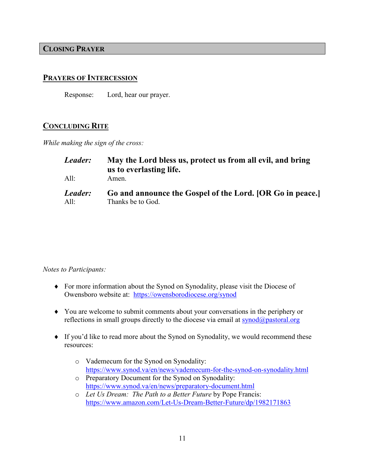#### **CLOSING PRAYER**

#### **PRAYERS OF INTERCESSION**

Response: Lord, hear our prayer.

#### **CONCLUDING RITE**

*While making the sign of the cross:*

| <b>Leader:</b><br>All: | May the Lord bless us, protect us from all evil, and bring<br>us to everlasting life.<br>Amen. |  |  |
|------------------------|------------------------------------------------------------------------------------------------|--|--|
| Leader:                | Go and announce the Gospel of the Lord. [OR Go in peace.]                                      |  |  |
| All:                   | Thanks be to God.                                                                              |  |  |

#### *Notes to Participants:*

- ♦ For more information about the Synod on Synodality, please visit the Diocese of Owensboro website at: <https://owensborodiocese.org/synod>
- ♦ You are welcome to submit comments about your conversations in the periphery or reflections in small groups directly to the diocese via email at  $\frac{\text{synod}(a)\text{pastoral.org}}{\text{synod}(a)}$
- ♦ If you'd like to read more about the Synod on Synodality, we would recommend these resources:
	- o Vademecum for the Synod on Synodality: <https://www.synod.va/en/news/vademecum-for-the-synod-on-synodality.html>
	- o Preparatory Document for the Synod on Synodality: <https://www.synod.va/en/news/preparatory-document.html>
	- o *Let Us Dream: The Path to a Better Future* by Pope Francis: <https://www.amazon.com/Let-Us-Dream-Better-Future/dp/1982171863>